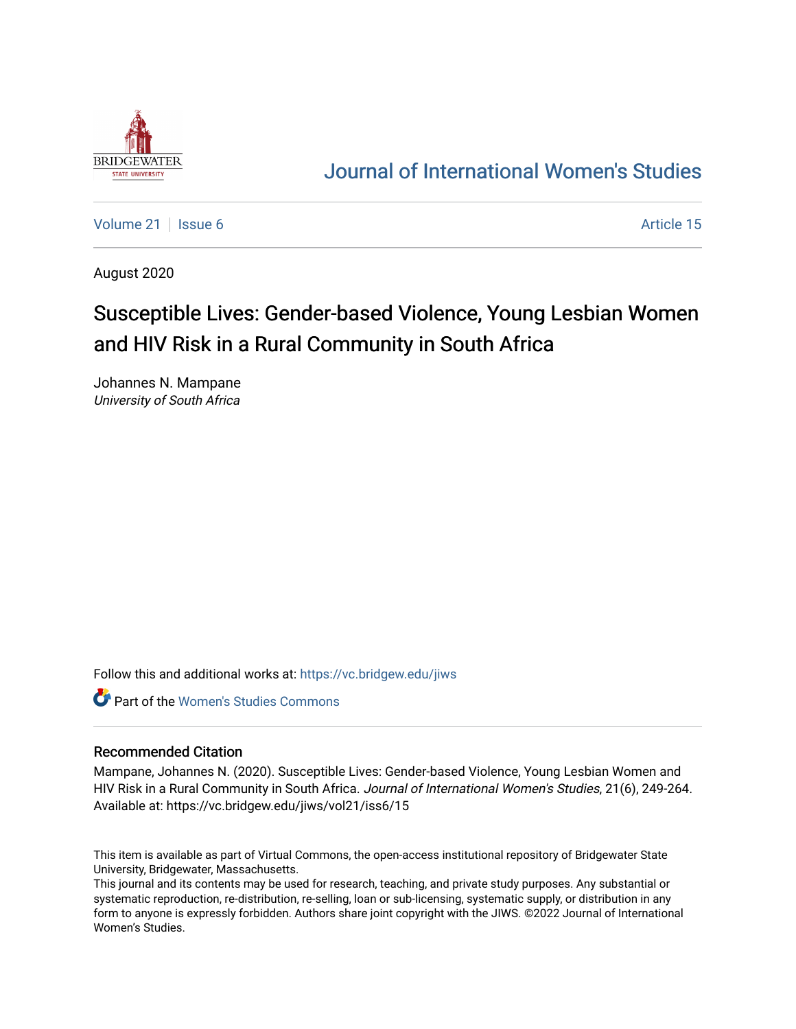

# [Journal of International Women's Studies](https://vc.bridgew.edu/jiws)

[Volume 21](https://vc.bridgew.edu/jiws/vol21) | [Issue 6](https://vc.bridgew.edu/jiws/vol21/iss6) Article 15

August 2020

# Susceptible Lives: Gender-based Violence, Young Lesbian Women and HIV Risk in a Rural Community in South Africa

Johannes N. Mampane University of South Africa

Follow this and additional works at: [https://vc.bridgew.edu/jiws](https://vc.bridgew.edu/jiws?utm_source=vc.bridgew.edu%2Fjiws%2Fvol21%2Fiss6%2F15&utm_medium=PDF&utm_campaign=PDFCoverPages)

Part of the [Women's Studies Commons](http://network.bepress.com/hgg/discipline/561?utm_source=vc.bridgew.edu%2Fjiws%2Fvol21%2Fiss6%2F15&utm_medium=PDF&utm_campaign=PDFCoverPages) 

#### Recommended Citation

Mampane, Johannes N. (2020). Susceptible Lives: Gender-based Violence, Young Lesbian Women and HIV Risk in a Rural Community in South Africa. Journal of International Women's Studies, 21(6), 249-264. Available at: https://vc.bridgew.edu/jiws/vol21/iss6/15

This item is available as part of Virtual Commons, the open-access institutional repository of Bridgewater State University, Bridgewater, Massachusetts.

This journal and its contents may be used for research, teaching, and private study purposes. Any substantial or systematic reproduction, re-distribution, re-selling, loan or sub-licensing, systematic supply, or distribution in any form to anyone is expressly forbidden. Authors share joint copyright with the JIWS. ©2022 Journal of International Women's Studies.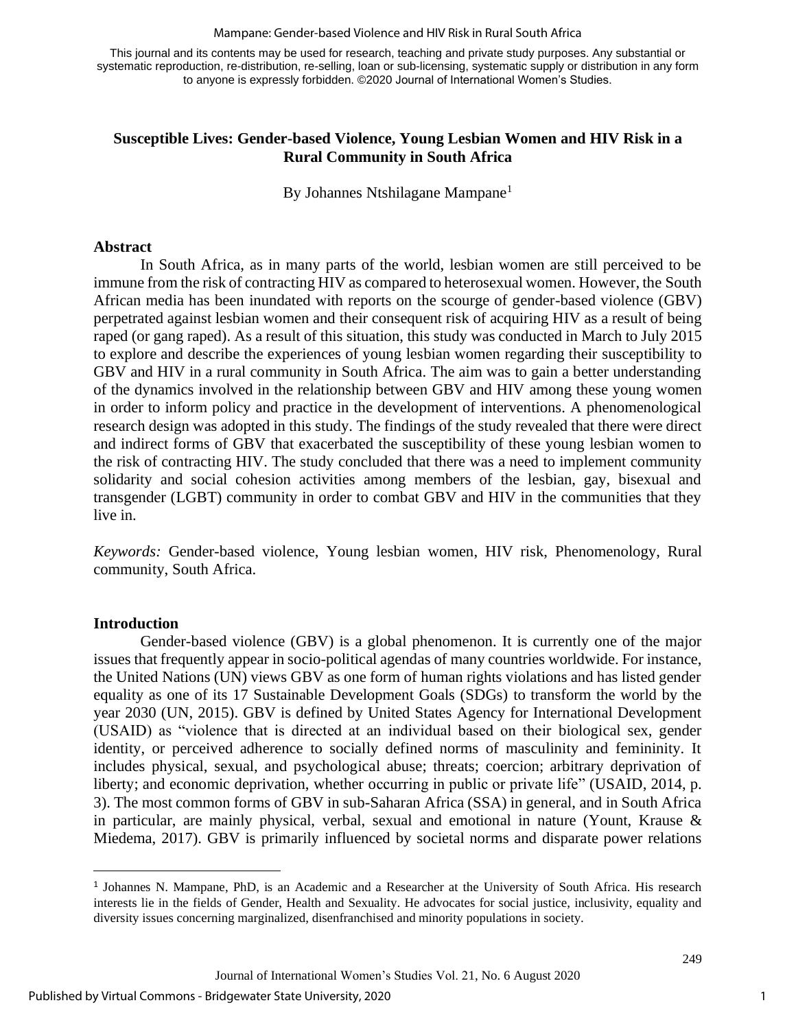#### Mampane: Gender-based Violence and HIV Risk in Rural South Africa

This journal and its contents may be used for research, teaching and private study purposes. Any substantial or systematic reproduction, re-distribution, re-selling, loan or sub-licensing, systematic supply or distribution in any form to anyone is expressly forbidden. ©2020 Journal of International Women's Studies.

# **Susceptible Lives: Gender-based Violence, Young Lesbian Women and HIV Risk in a Rural Community in South Africa**

By Johannes Ntshilagane Mampane<sup>1</sup>

#### **Abstract**

In South Africa, as in many parts of the world, lesbian women are still perceived to be immune from the risk of contracting HIV as compared to heterosexual women. However, the South African media has been inundated with reports on the scourge of gender-based violence (GBV) perpetrated against lesbian women and their consequent risk of acquiring HIV as a result of being raped (or gang raped). As a result of this situation, this study was conducted in March to July 2015 to explore and describe the experiences of young lesbian women regarding their susceptibility to GBV and HIV in a rural community in South Africa. The aim was to gain a better understanding of the dynamics involved in the relationship between GBV and HIV among these young women in order to inform policy and practice in the development of interventions. A phenomenological research design was adopted in this study. The findings of the study revealed that there were direct and indirect forms of GBV that exacerbated the susceptibility of these young lesbian women to the risk of contracting HIV. The study concluded that there was a need to implement community solidarity and social cohesion activities among members of the lesbian, gay, bisexual and transgender (LGBT) community in order to combat GBV and HIV in the communities that they live in.

*Keywords:* Gender-based violence, Young lesbian women, HIV risk, Phenomenology, Rural community, South Africa.

#### **Introduction**

Gender-based violence (GBV) is a global phenomenon. It is currently one of the major issues that frequently appear in socio-political agendas of many countries worldwide. For instance, the United Nations (UN) views GBV as one form of human rights violations and has listed gender equality as one of its 17 Sustainable Development Goals (SDGs) to transform the world by the year 2030 (UN, 2015). GBV is defined by United States Agency for International Development (USAID) as "violence that is directed at an individual based on their biological sex, gender identity, or perceived adherence to socially defined norms of masculinity and femininity. It includes physical, sexual, and psychological abuse; threats; coercion; arbitrary deprivation of liberty; and economic deprivation, whether occurring in public or private life" (USAID, 2014, p. 3). The most common forms of GBV in sub-Saharan Africa (SSA) in general, and in South Africa in particular, are mainly physical, verbal, sexual and emotional in nature (Yount, Krause & Miedema, 2017). GBV is primarily influenced by societal norms and disparate power relations

<sup>&</sup>lt;sup>1</sup> Johannes N. Mampane, PhD, is an Academic and a Researcher at the University of South Africa. His research interests lie in the fields of Gender, Health and Sexuality. He advocates for social justice, inclusivity, equality and diversity issues concerning marginalized, disenfranchised and minority populations in society.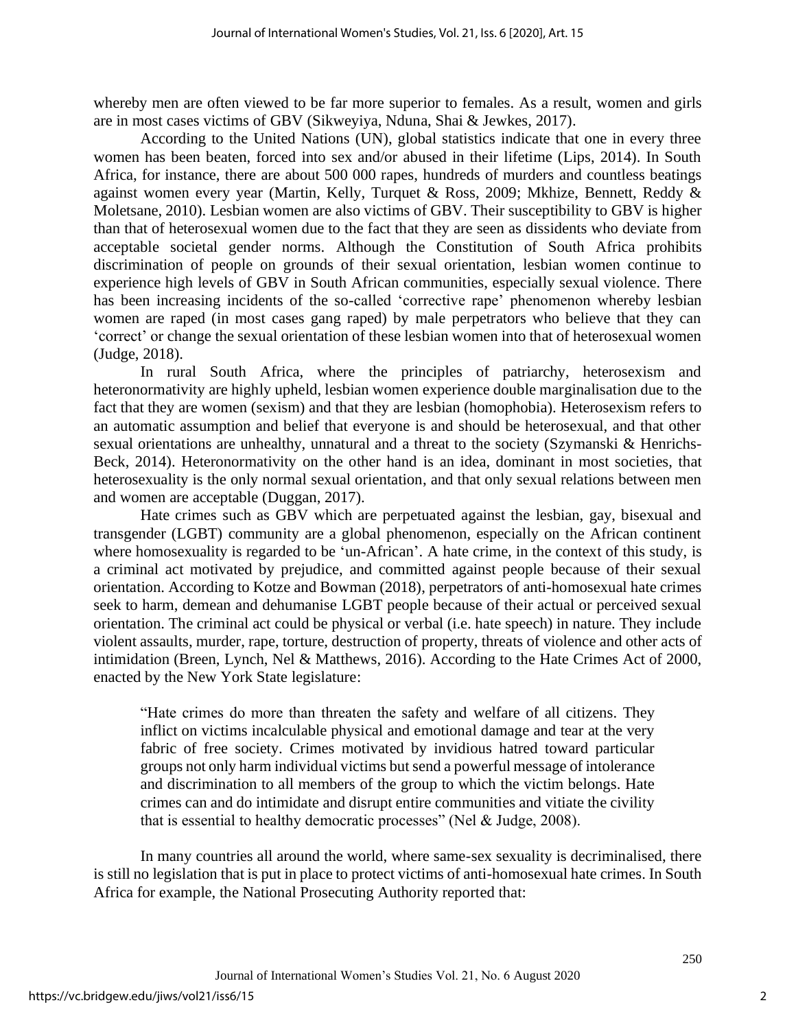whereby men are often viewed to be far more superior to females. As a result, women and girls are in most cases victims of GBV (Sikweyiya, Nduna, Shai & Jewkes, 2017).

According to the United Nations (UN), global statistics indicate that one in every three women has been beaten, forced into sex and/or abused in their lifetime (Lips, 2014). In South Africa, for instance, there are about 500 000 rapes, hundreds of murders and countless beatings against women every year (Martin, Kelly, Turquet & Ross, 2009; Mkhize, Bennett, Reddy & Moletsane, 2010). Lesbian women are also victims of GBV. Their susceptibility to GBV is higher than that of heterosexual women due to the fact that they are seen as dissidents who deviate from acceptable societal gender norms. Although the Constitution of South Africa prohibits discrimination of people on grounds of their sexual orientation, lesbian women continue to experience high levels of GBV in South African communities, especially sexual violence. There has been increasing incidents of the so-called 'corrective rape' phenomenon whereby lesbian women are raped (in most cases gang raped) by male perpetrators who believe that they can 'correct' or change the sexual orientation of these lesbian women into that of heterosexual women (Judge, 2018).

In rural South Africa, where the principles of patriarchy, heterosexism and heteronormativity are highly upheld, lesbian women experience double marginalisation due to the fact that they are women (sexism) and that they are lesbian (homophobia). Heterosexism refers to an automatic assumption and belief that everyone is and should be heterosexual, and that other sexual orientations are unhealthy, unnatural and a threat to the society (Szymanski & Henrichs-Beck, 2014). Heteronormativity on the other hand is an idea, dominant in most societies, that heterosexuality is the only normal sexual orientation, and that only sexual relations between men and women are acceptable (Duggan, 2017).

Hate crimes such as GBV which are perpetuated against the lesbian, gay, bisexual and transgender (LGBT) community are a global phenomenon, especially on the African continent where homosexuality is regarded to be 'un-African'. A hate crime, in the context of this study, is a criminal act motivated by prejudice, and committed against people because of their sexual orientation. According to Kotze and Bowman (2018), perpetrators of anti-homosexual hate crimes seek to harm, demean and dehumanise LGBT people because of their actual or perceived sexual orientation. The criminal act could be physical or verbal (i.e. hate speech) in nature. They include violent assaults, murder, rape, torture, destruction of property, threats of violence and other acts of intimidation (Breen, Lynch, Nel & Matthews, 2016). According to the Hate Crimes Act of 2000, enacted by the New York State legislature:

"Hate crimes do more than threaten the safety and welfare of all citizens. They inflict on victims incalculable physical and emotional damage and tear at the very fabric of free society. Crimes motivated by invidious hatred toward particular groups not only harm individual victims but send a powerful message of intolerance and discrimination to all members of the group to which the victim belongs. Hate crimes can and do intimidate and disrupt entire communities and vitiate the civility that is essential to healthy democratic processes" (Nel & Judge, 2008).

In many countries all around the world, where same-sex sexuality is decriminalised, there is still no legislation that is put in place to protect victims of anti-homosexual hate crimes. In South Africa for example, the National Prosecuting Authority reported that: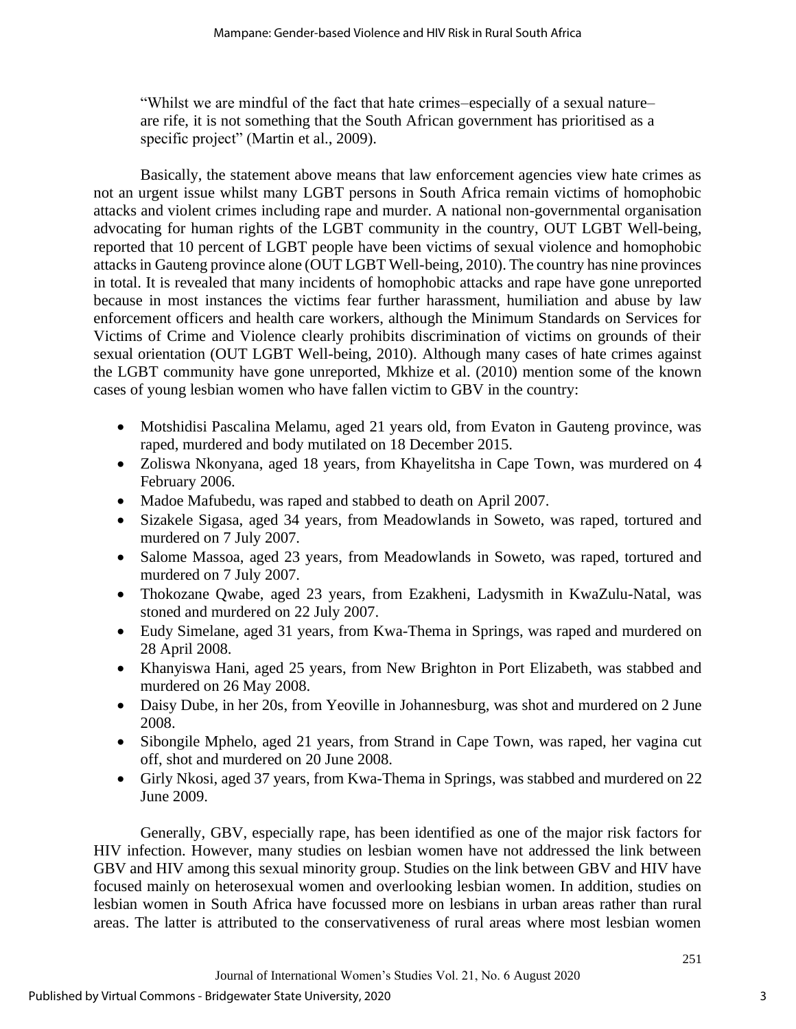"Whilst we are mindful of the fact that hate crimes–especially of a sexual nature– are rife, it is not something that the South African government has prioritised as a specific project" (Martin et al., 2009).

Basically, the statement above means that law enforcement agencies view hate crimes as not an urgent issue whilst many LGBT persons in South Africa remain victims of homophobic attacks and violent crimes including rape and murder. A national non-governmental organisation advocating for human rights of the LGBT community in the country, OUT LGBT Well-being, reported that 10 percent of LGBT people have been victims of sexual violence and homophobic attacks in Gauteng province alone (OUT LGBT Well-being, 2010). The country has nine provinces in total. It is revealed that many incidents of homophobic attacks and rape have gone unreported because in most instances the victims fear further harassment, humiliation and abuse by law enforcement officers and health care workers, although the Minimum Standards on Services for Victims of Crime and Violence clearly prohibits discrimination of victims on grounds of their sexual orientation (OUT LGBT Well-being, 2010). Although many cases of hate crimes against the LGBT community have gone unreported, Mkhize et al. (2010) mention some of the known cases of young lesbian women who have fallen victim to GBV in the country:

- Motshidisi Pascalina Melamu, aged 21 years old, from Evaton in Gauteng province, was raped, murdered and body mutilated on 18 December 2015.
- Zoliswa Nkonyana, aged 18 years, from Khayelitsha in Cape Town, was murdered on 4 February 2006.
- Madoe Mafubedu, was raped and stabbed to death on April 2007.
- Sizakele Sigasa, aged 34 years, from Meadowlands in Soweto, was raped, tortured and murdered on 7 July 2007.
- Salome Massoa, aged 23 years, from Meadowlands in Soweto, was raped, tortured and murdered on 7 July 2007.
- Thokozane Qwabe, aged 23 years, from Ezakheni, Ladysmith in KwaZulu-Natal, was stoned and murdered on 22 July 2007.
- Eudy Simelane, aged 31 years, from Kwa-Thema in Springs, was raped and murdered on 28 April 2008.
- Khanyiswa Hani, aged 25 years, from New Brighton in Port Elizabeth, was stabbed and murdered on 26 May 2008.
- Daisy Dube, in her 20s, from Yeoville in Johannesburg, was shot and murdered on 2 June 2008.
- Sibongile Mphelo, aged 21 years, from Strand in Cape Town, was raped, her vagina cut off, shot and murdered on 20 June 2008.
- Girly Nkosi, aged 37 years, from Kwa-Thema in Springs, was stabbed and murdered on 22 June 2009.

Generally, GBV, especially rape, has been identified as one of the major risk factors for HIV infection. However, many studies on lesbian women have not addressed the link between GBV and HIV among this sexual minority group. Studies on the link between GBV and HIV have focused mainly on heterosexual women and overlooking lesbian women. In addition, studies on lesbian women in South Africa have focussed more on lesbians in urban areas rather than rural areas. The latter is attributed to the conservativeness of rural areas where most lesbian women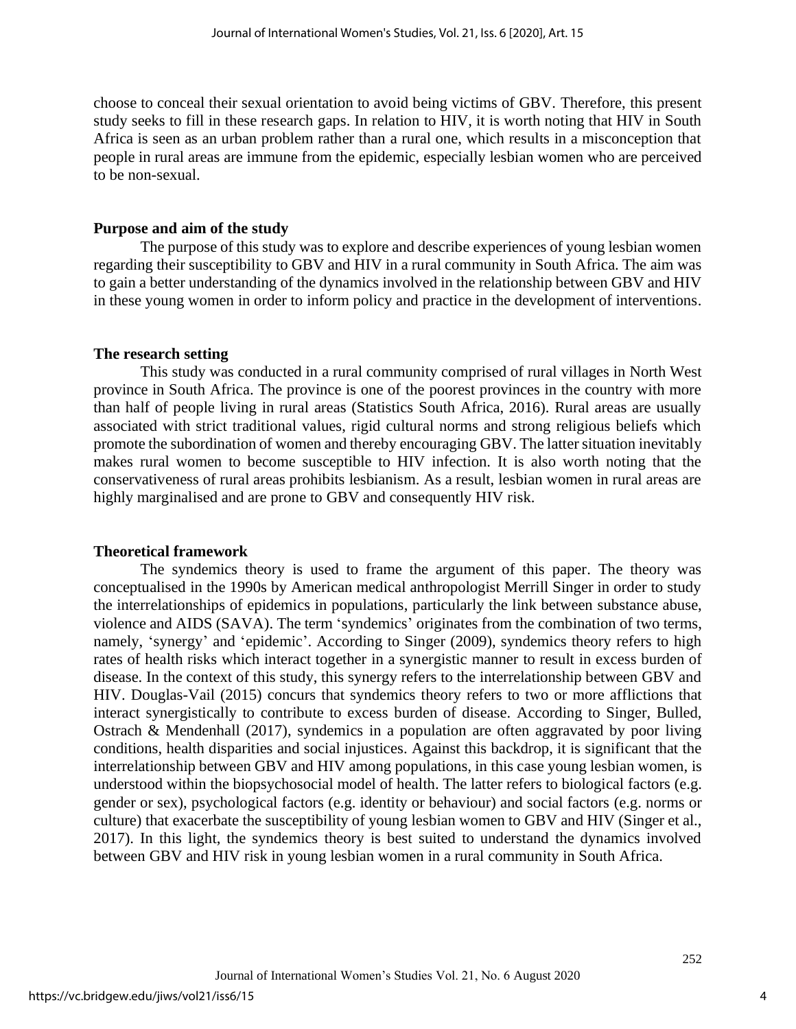choose to conceal their sexual orientation to avoid being victims of GBV. Therefore, this present study seeks to fill in these research gaps. In relation to HIV, it is worth noting that HIV in South Africa is seen as an urban problem rather than a rural one, which results in a misconception that people in rural areas are immune from the epidemic, especially lesbian women who are perceived to be non-sexual.

### **Purpose and aim of the study**

The purpose of this study was to explore and describe experiences of young lesbian women regarding their susceptibility to GBV and HIV in a rural community in South Africa. The aim was to gain a better understanding of the dynamics involved in the relationship between GBV and HIV in these young women in order to inform policy and practice in the development of interventions.

#### **The research setting**

This study was conducted in a rural community comprised of rural villages in North West province in South Africa. The province is one of the poorest provinces in the country with more than half of people living in rural areas (Statistics South Africa, 2016). Rural areas are usually associated with strict traditional values, rigid cultural norms and strong religious beliefs which promote the subordination of women and thereby encouraging GBV. The latter situation inevitably makes rural women to become susceptible to HIV infection. It is also worth noting that the conservativeness of rural areas prohibits lesbianism. As a result, lesbian women in rural areas are highly marginalised and are prone to GBV and consequently HIV risk.

# **Theoretical framework**

The syndemics theory is used to frame the argument of this paper. The theory was conceptualised in the 1990s by American medical anthropologist Merrill Singer in order to study the interrelationships of epidemics in populations, particularly the link between substance abuse, violence and AIDS (SAVA). The term 'syndemics' originates from the combination of two terms, namely, 'synergy' and 'epidemic'. According to Singer (2009), syndemics theory refers to high rates of health risks which interact together in a synergistic manner to result in excess burden of disease. In the context of this study, this synergy refers to the interrelationship between GBV and HIV. Douglas-Vail (2015) concurs that syndemics theory refers to two or more afflictions that interact synergistically to contribute to excess burden of disease. According to Singer, Bulled, Ostrach & Mendenhall (2017), syndemics in a population are often aggravated by poor living conditions, health disparities and social injustices. Against this backdrop, it is significant that the interrelationship between GBV and HIV among populations, in this case young lesbian women, is understood within the biopsychosocial model of health. The latter refers to biological factors (e.g. gender or sex), psychological factors (e.g. identity or behaviour) and social factors (e.g. norms or culture) that exacerbate the susceptibility of young lesbian women to GBV and HIV (Singer et al., 2017). In this light, the syndemics theory is best suited to understand the dynamics involved between GBV and HIV risk in young lesbian women in a rural community in South Africa.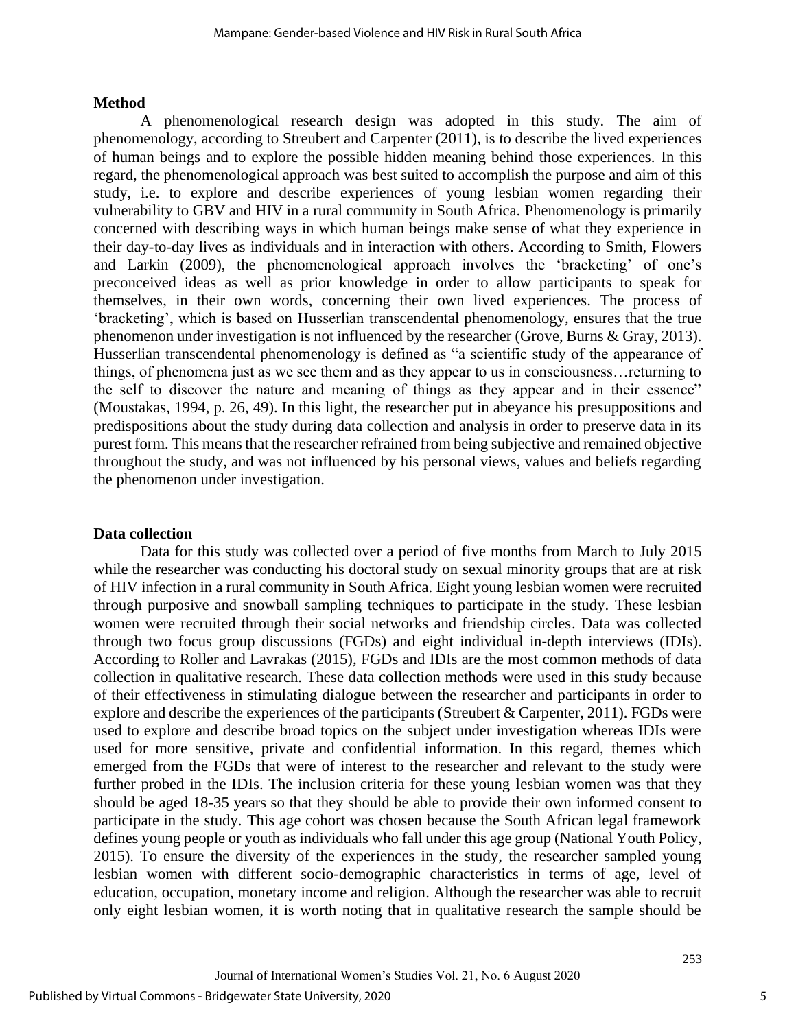#### **Method**

A phenomenological research design was adopted in this study. The aim of phenomenology, according to Streubert and Carpenter (2011), is to describe the lived experiences of human beings and to explore the possible hidden meaning behind those experiences. In this regard, the phenomenological approach was best suited to accomplish the purpose and aim of this study, i.e. to explore and describe experiences of young lesbian women regarding their vulnerability to GBV and HIV in a rural community in South Africa. Phenomenology is primarily concerned with describing ways in which human beings make sense of what they experience in their day-to-day lives as individuals and in interaction with others. According to Smith, Flowers and Larkin (2009), the phenomenological approach involves the 'bracketing' of one's preconceived ideas as well as prior knowledge in order to allow participants to speak for themselves, in their own words, concerning their own lived experiences. The process of 'bracketing', which is based on Husserlian transcendental phenomenology, ensures that the true phenomenon under investigation is not influenced by the researcher (Grove, Burns & Gray, 2013). Husserlian transcendental phenomenology is defined as "a scientific study of the appearance of things, of phenomena just as we see them and as they appear to us in consciousness…returning to the self to discover the nature and meaning of things as they appear and in their essence" (Moustakas, 1994, p. 26, 49). In this light, the researcher put in abeyance his presuppositions and predispositions about the study during data collection and analysis in order to preserve data in its purest form. This means that the researcher refrained from being subjective and remained objective throughout the study, and was not influenced by his personal views, values and beliefs regarding the phenomenon under investigation.

# **Data collection**

Data for this study was collected over a period of five months from March to July 2015 while the researcher was conducting his doctoral study on sexual minority groups that are at risk of HIV infection in a rural community in South Africa. Eight young lesbian women were recruited through purposive and snowball sampling techniques to participate in the study. These lesbian women were recruited through their social networks and friendship circles. Data was collected through two focus group discussions (FGDs) and eight individual in-depth interviews (IDIs). According to Roller and Lavrakas (2015), FGDs and IDIs are the most common methods of data collection in qualitative research. These data collection methods were used in this study because of their effectiveness in stimulating dialogue between the researcher and participants in order to explore and describe the experiences of the participants (Streubert & Carpenter, 2011). FGDs were used to explore and describe broad topics on the subject under investigation whereas IDIs were used for more sensitive, private and confidential information. In this regard, themes which emerged from the FGDs that were of interest to the researcher and relevant to the study were further probed in the IDIs. The inclusion criteria for these young lesbian women was that they should be aged 18-35 years so that they should be able to provide their own informed consent to participate in the study. This age cohort was chosen because the South African legal framework defines young people or youth as individuals who fall under this age group (National Youth Policy, 2015). To ensure the diversity of the experiences in the study, the researcher sampled young lesbian women with different socio-demographic characteristics in terms of age, level of education, occupation, monetary income and religion. Although the researcher was able to recruit only eight lesbian women, it is worth noting that in qualitative research the sample should be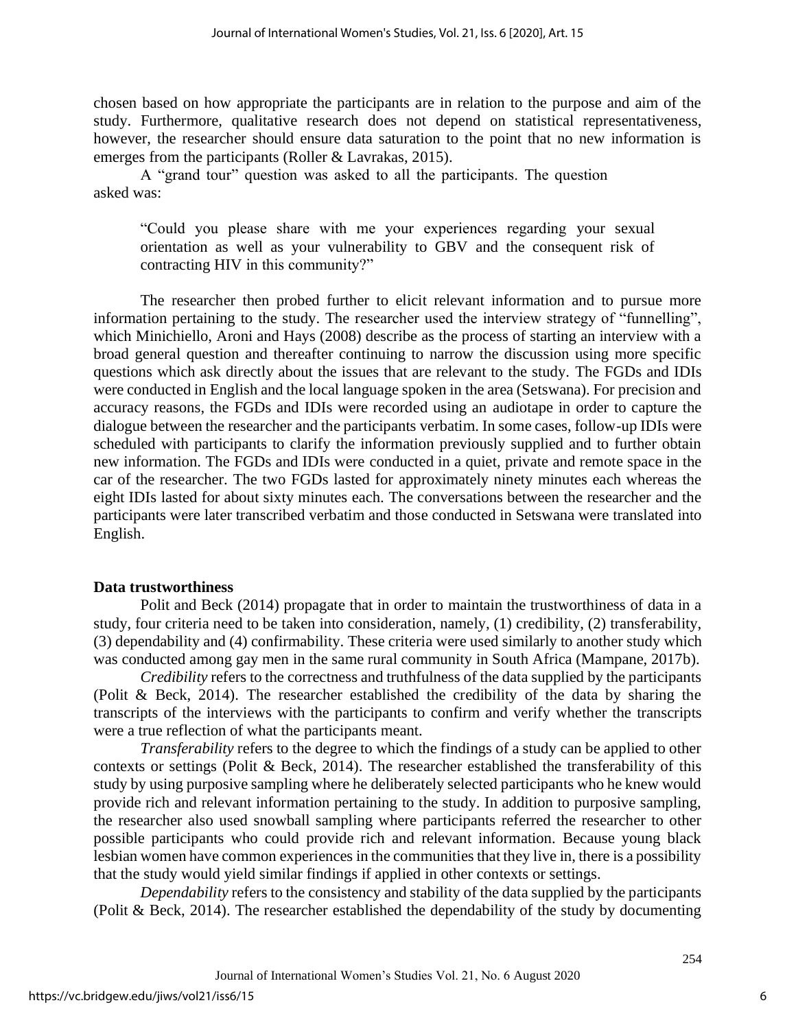chosen based on how appropriate the participants are in relation to the purpose and aim of the study. Furthermore, qualitative research does not depend on statistical representativeness, however, the researcher should ensure data saturation to the point that no new information is emerges from the participants (Roller & Lavrakas, 2015).

A "grand tour" question was asked to all the participants. The question asked was:

"Could you please share with me your experiences regarding your sexual orientation as well as your vulnerability to GBV and the consequent risk of contracting HIV in this community?"

The researcher then probed further to elicit relevant information and to pursue more information pertaining to the study. The researcher used the interview strategy of "funnelling", which Minichiello, Aroni and Hays (2008) describe as the process of starting an interview with a broad general question and thereafter continuing to narrow the discussion using more specific questions which ask directly about the issues that are relevant to the study. The FGDs and IDIs were conducted in English and the local language spoken in the area (Setswana). For precision and accuracy reasons, the FGDs and IDIs were recorded using an audiotape in order to capture the dialogue between the researcher and the participants verbatim. In some cases, follow-up IDIs were scheduled with participants to clarify the information previously supplied and to further obtain new information. The FGDs and IDIs were conducted in a quiet, private and remote space in the car of the researcher. The two FGDs lasted for approximately ninety minutes each whereas the eight IDIs lasted for about sixty minutes each. The conversations between the researcher and the participants were later transcribed verbatim and those conducted in Setswana were translated into English.

# **Data trustworthiness**

Polit and Beck (2014) propagate that in order to maintain the trustworthiness of data in a study, four criteria need to be taken into consideration, namely, (1) credibility, (2) transferability, (3) dependability and (4) confirmability. These criteria were used similarly to another study which was conducted among gay men in the same rural community in South Africa (Mampane, 2017b).

*Credibility* refers to the correctness and truthfulness of the data supplied by the participants (Polit & Beck, 2014). The researcher established the credibility of the data by sharing the transcripts of the interviews with the participants to confirm and verify whether the transcripts were a true reflection of what the participants meant.

*Transferability* refers to the degree to which the findings of a study can be applied to other contexts or settings (Polit & Beck, 2014). The researcher established the transferability of this study by using purposive sampling where he deliberately selected participants who he knew would provide rich and relevant information pertaining to the study. In addition to purposive sampling, the researcher also used snowball sampling where participants referred the researcher to other possible participants who could provide rich and relevant information. Because young black lesbian women have common experiences in the communities that they live in, there is a possibility that the study would yield similar findings if applied in other contexts or settings.

*Dependability* refers to the consistency and stability of the data supplied by the participants (Polit & Beck, 2014). The researcher established the dependability of the study by documenting

6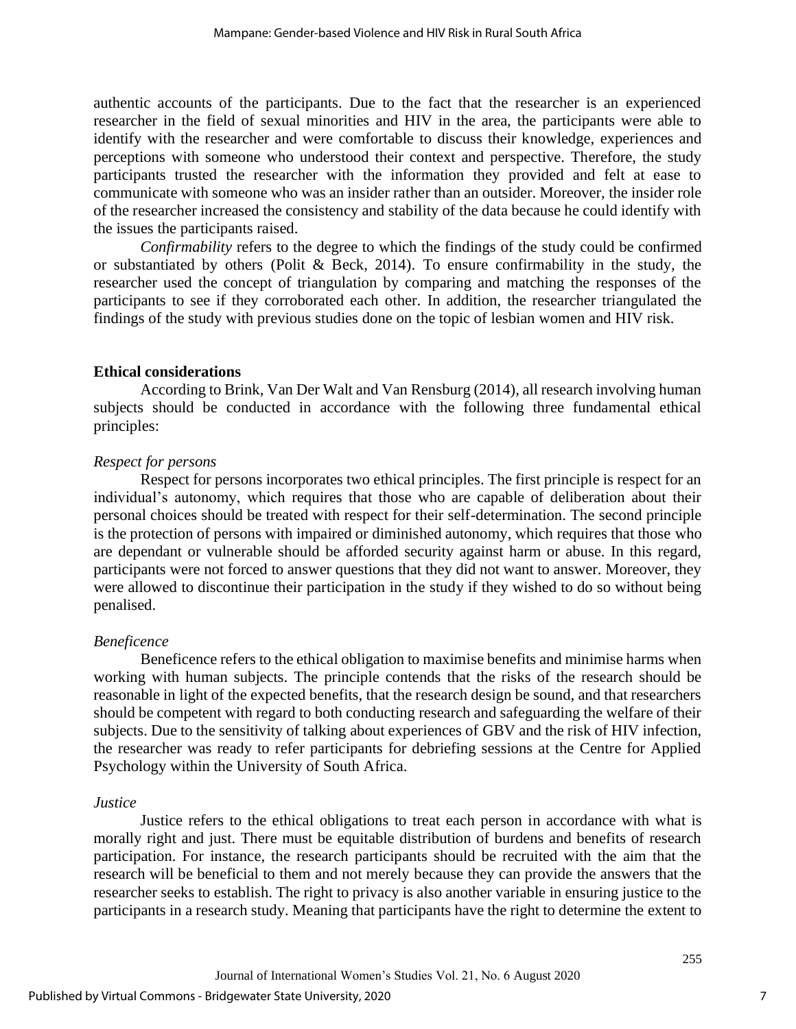authentic accounts of the participants. Due to the fact that the researcher is an experienced researcher in the field of sexual minorities and HIV in the area, the participants were able to identify with the researcher and were comfortable to discuss their knowledge, experiences and perceptions with someone who understood their context and perspective. Therefore, the study participants trusted the researcher with the information they provided and felt at ease to communicate with someone who was an insider rather than an outsider. Moreover, the insider role of the researcher increased the consistency and stability of the data because he could identify with the issues the participants raised.

*Confirmability* refers to the degree to which the findings of the study could be confirmed or substantiated by others (Polit & Beck, 2014). To ensure confirmability in the study, the researcher used the concept of triangulation by comparing and matching the responses of the participants to see if they corroborated each other. In addition, the researcher triangulated the findings of the study with previous studies done on the topic of lesbian women and HIV risk.

#### **Ethical considerations**

According to Brink, Van Der Walt and Van Rensburg (2014), all research involving human subjects should be conducted in accordance with the following three fundamental ethical principles:

#### *Respect for persons*

Respect for persons incorporates two ethical principles. The first principle is respect for an individual's autonomy, which requires that those who are capable of deliberation about their personal choices should be treated with respect for their self-determination. The second principle is the protection of persons with impaired or diminished autonomy, which requires that those who are dependant or vulnerable should be afforded security against harm or abuse. In this regard, participants were not forced to answer questions that they did not want to answer. Moreover, they were allowed to discontinue their participation in the study if they wished to do so without being penalised.

# *Beneficence*

Beneficence refers to the ethical obligation to maximise benefits and minimise harms when working with human subjects. The principle contends that the risks of the research should be reasonable in light of the expected benefits, that the research design be sound, and that researchers should be competent with regard to both conducting research and safeguarding the welfare of their subjects. Due to the sensitivity of talking about experiences of GBV and the risk of HIV infection, the researcher was ready to refer participants for debriefing sessions at the Centre for Applied Psychology within the University of South Africa.

#### *Justice*

Justice refers to the ethical obligations to treat each person in accordance with what is morally right and just. There must be equitable distribution of burdens and benefits of research participation. For instance, the research participants should be recruited with the aim that the research will be beneficial to them and not merely because they can provide the answers that the researcher seeks to establish. The right to privacy is also another variable in ensuring justice to the participants in a research study. Meaning that participants have the right to determine the extent to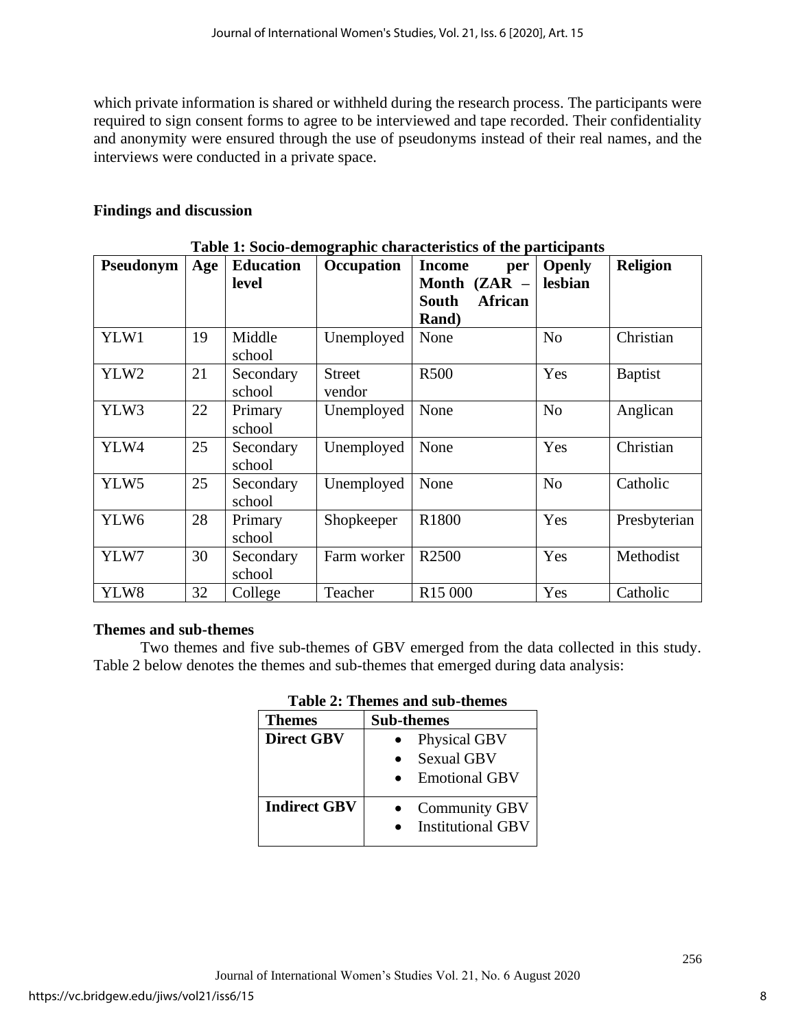which private information is shared or withheld during the research process. The participants were required to sign consent forms to agree to be interviewed and tape recorded. Their confidentiality and anonymity were ensured through the use of pseudonyms instead of their real names, and the interviews were conducted in a private space.

# **Findings and discussion**

| Pseudonym        | Age | <b>Education</b>    | Occupation              | Table 1: Socio-demographic characteristics of the participants<br><b>Income</b><br>per | <b>Openly</b>  | <b>Religion</b> |
|------------------|-----|---------------------|-------------------------|----------------------------------------------------------------------------------------|----------------|-----------------|
|                  |     | level               |                         | Month (ZAR -<br><b>African</b><br><b>South</b><br><b>Rand</b> )                        | lesbian        |                 |
| YLW1             | 19  | Middle<br>school    | Unemployed              | None                                                                                   | N <sub>o</sub> | Christian       |
| YLW2             | 21  | Secondary<br>school | <b>Street</b><br>vendor | R500                                                                                   | Yes            | <b>Baptist</b>  |
| YLW3             | 22  | Primary<br>school   | Unemployed              | None                                                                                   | N <sub>0</sub> | Anglican        |
| YLW4             | 25  | Secondary<br>school | Unemployed              | None                                                                                   | Yes            | Christian       |
| YLW <sub>5</sub> | 25  | Secondary<br>school | Unemployed              | None                                                                                   | N <sub>o</sub> | Catholic        |
| YLW <sub>6</sub> | 28  | Primary<br>school   | Shopkeeper              | R1800                                                                                  | Yes            | Presbyterian    |
| YLW7             | 30  | Secondary<br>school | Farm worker             | R <sub>2500</sub>                                                                      | Yes            | Methodist       |
| YLW8             | 32  | College             | Teacher                 | R <sub>15</sub> 000                                                                    | Yes            | Catholic        |

# **Table 1: Socio-demographic characteristics of the participants**

# **Themes and sub-themes**

Two themes and five sub-themes of GBV emerged from the data collected in this study. Table 2 below denotes the themes and sub-themes that emerged during data analysis:

| <b>Themes</b>       | <b>Sub-themes</b>        |  |  |  |
|---------------------|--------------------------|--|--|--|
| <b>Direct GBV</b>   | Physical GBV             |  |  |  |
|                     | <b>Sexual GBV</b>        |  |  |  |
|                     | <b>Emotional GBV</b>     |  |  |  |
| <b>Indirect GBV</b> | <b>Community GBV</b>     |  |  |  |
|                     | <b>Institutional GBV</b> |  |  |  |
|                     |                          |  |  |  |

# **Table 2: Themes and sub-themes**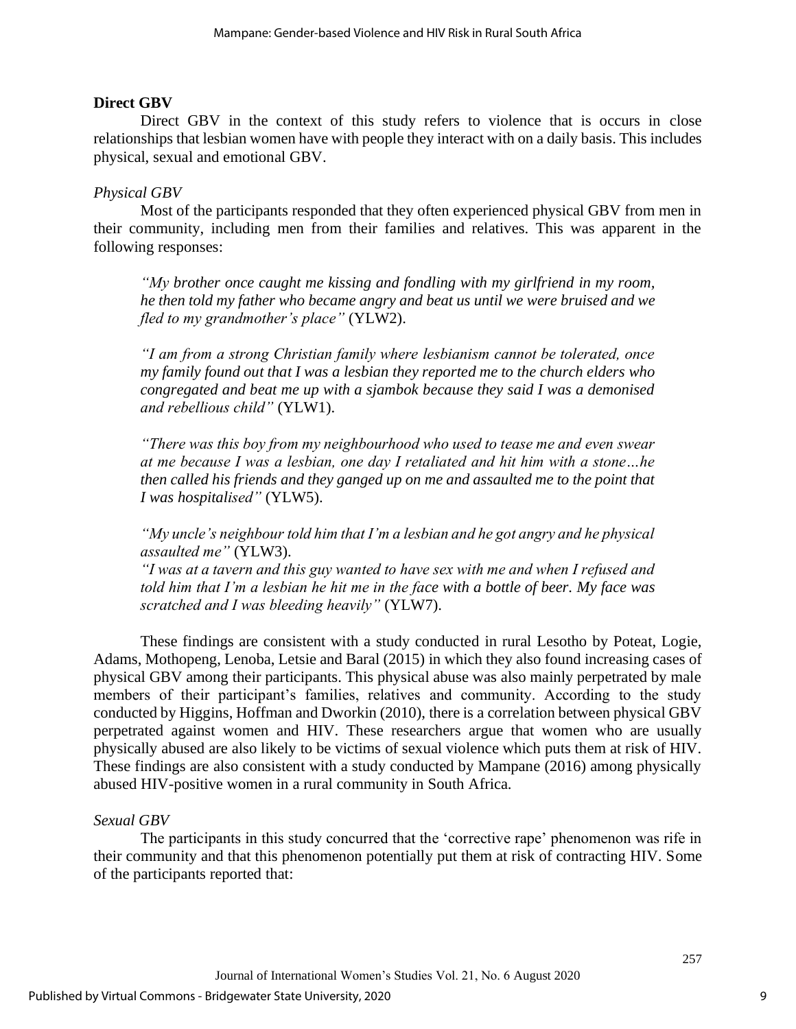# **Direct GBV**

Direct GBV in the context of this study refers to violence that is occurs in close relationships that lesbian women have with people they interact with on a daily basis. This includes physical, sexual and emotional GBV.

# *Physical GBV*

Most of the participants responded that they often experienced physical GBV from men in their community, including men from their families and relatives. This was apparent in the following responses:

*"My brother once caught me kissing and fondling with my girlfriend in my room, he then told my father who became angry and beat us until we were bruised and we fled to my grandmother's place"* (YLW2).

*"I am from a strong Christian family where lesbianism cannot be tolerated, once my family found out that I was a lesbian they reported me to the church elders who congregated and beat me up with a sjambok because they said I was a demonised and rebellious child"* (YLW1).

*"There was this boy from my neighbourhood who used to tease me and even swear at me because I was a lesbian, one day I retaliated and hit him with a stone…he then called his friends and they ganged up on me and assaulted me to the point that I was hospitalised"* (YLW5).

*"My uncle's neighbour told him that I'm a lesbian and he got angry and he physical assaulted me"* (YLW3).

*"I was at a tavern and this guy wanted to have sex with me and when I refused and told him that I'm a lesbian he hit me in the face with a bottle of beer. My face was scratched and I was bleeding heavily"* (YLW7).

These findings are consistent with a study conducted in rural Lesotho by Poteat, Logie, Adams, Mothopeng, Lenoba, Letsie and Baral (2015) in which they also found increasing cases of physical GBV among their participants. This physical abuse was also mainly perpetrated by male members of their participant's families, relatives and community. According to the study conducted by Higgins, Hoffman and Dworkin (2010), there is a correlation between physical GBV perpetrated against women and HIV. These researchers argue that women who are usually physically abused are also likely to be victims of sexual violence which puts them at risk of HIV. These findings are also consistent with a study conducted by Mampane (2016) among physically abused HIV-positive women in a rural community in South Africa.

# *Sexual GBV*

The participants in this study concurred that the 'corrective rape' phenomenon was rife in their community and that this phenomenon potentially put them at risk of contracting HIV. Some of the participants reported that: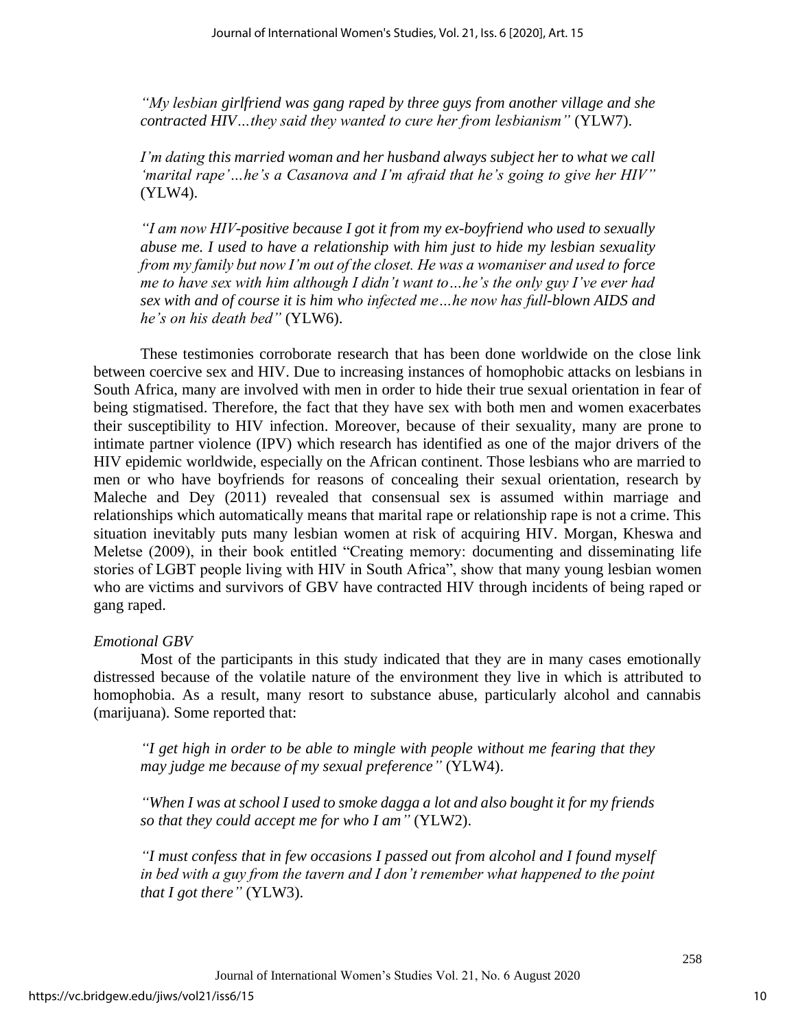*"My lesbian girlfriend was gang raped by three guys from another village and she contracted HIV…they said they wanted to cure her from lesbianism"* (YLW7).

*I'm dating this married woman and her husband always subject her to what we call 'marital rape'…he's a Casanova and I'm afraid that he's going to give her HIV"* (YLW4).

*"I am now HIV-positive because I got it from my ex-boyfriend who used to sexually abuse me. I used to have a relationship with him just to hide my lesbian sexuality from my family but now I'm out of the closet. He was a womaniser and used to force me to have sex with him although I didn't want to…he's the only guy I've ever had sex with and of course it is him who infected me…he now has full-blown AIDS and he's on his death bed"* (YLW6).

These testimonies corroborate research that has been done worldwide on the close link between coercive sex and HIV. Due to increasing instances of homophobic attacks on lesbians in South Africa, many are involved with men in order to hide their true sexual orientation in fear of being stigmatised. Therefore, the fact that they have sex with both men and women exacerbates their susceptibility to HIV infection. Moreover, because of their sexuality, many are prone to intimate partner violence (IPV) which research has identified as one of the major drivers of the HIV epidemic worldwide, especially on the African continent. Those lesbians who are married to men or who have boyfriends for reasons of concealing their sexual orientation, research by Maleche and Dey (2011) revealed that consensual sex is assumed within marriage and relationships which automatically means that marital rape or relationship rape is not a crime. This situation inevitably puts many lesbian women at risk of acquiring HIV. Morgan, Kheswa and Meletse (2009), in their book entitled "Creating memory: documenting and disseminating life stories of LGBT people living with HIV in South Africa", show that many young lesbian women who are victims and survivors of GBV have contracted HIV through incidents of being raped or gang raped.

# *Emotional GBV*

Most of the participants in this study indicated that they are in many cases emotionally distressed because of the volatile nature of the environment they live in which is attributed to homophobia. As a result, many resort to substance abuse, particularly alcohol and cannabis (marijuana). Some reported that:

*"I get high in order to be able to mingle with people without me fearing that they may judge me because of my sexual preference"* (YLW4).

*"When I was at school I used to smoke dagga a lot and also bought it for my friends so that they could accept me for who I am"* (YLW2).

*"I must confess that in few occasions I passed out from alcohol and I found myself in bed with a guy from the tavern and I don't remember what happened to the point that I got there"* (YLW3).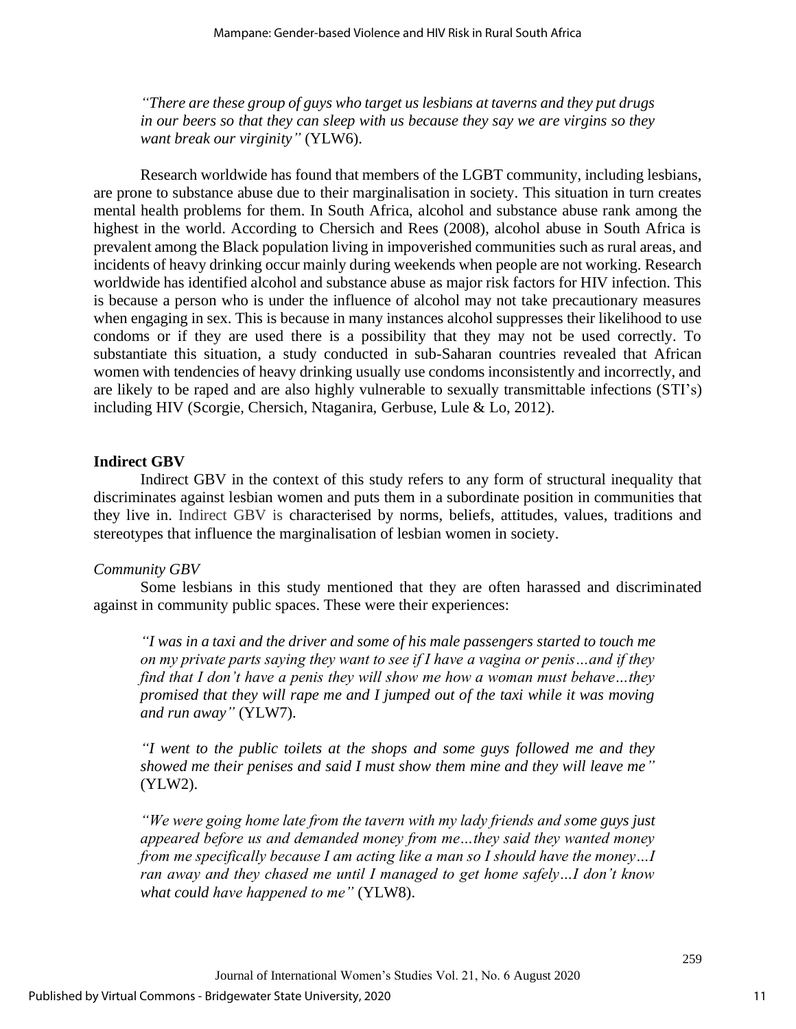*"There are these group of guys who target us lesbians at taverns and they put drugs in our beers so that they can sleep with us because they say we are virgins so they want break our virginity"* (YLW6).

Research worldwide has found that members of the LGBT community, including lesbians, are prone to substance abuse due to their marginalisation in society. This situation in turn creates mental health problems for them. In South Africa, alcohol and substance abuse rank among the highest in the world. According to Chersich and Rees (2008), alcohol abuse in South Africa is prevalent among the Black population living in impoverished communities such as rural areas, and incidents of heavy drinking occur mainly during weekends when people are not working. Research worldwide has identified alcohol and substance abuse as major risk factors for HIV infection. This is because a person who is under the influence of alcohol may not take precautionary measures when engaging in sex. This is because in many instances alcohol suppresses their likelihood to use condoms or if they are used there is a possibility that they may not be used correctly. To substantiate this situation, a study conducted in sub-Saharan countries revealed that African women with tendencies of heavy drinking usually use condoms inconsistently and incorrectly, and are likely to be raped and are also highly vulnerable to sexually transmittable infections (STI's) including HIV (Scorgie, Chersich, Ntaganira, Gerbuse, Lule & Lo, 2012).

#### **Indirect GBV**

Indirect GBV in the context of this study refers to any form of structural inequality that discriminates against lesbian women and puts them in a subordinate position in communities that they live in. Indirect GBV is characterised by norms, beliefs, attitudes, values, traditions and stereotypes that influence the marginalisation of lesbian women in society.

# *Community GBV*

Some lesbians in this study mentioned that they are often harassed and discriminated against in community public spaces. These were their experiences:

*"I was in a taxi and the driver and some of his male passengers started to touch me on my private parts saying they want to see if I have a vagina or penis…and if they find that I don't have a penis they will show me how a woman must behave…they promised that they will rape me and I jumped out of the taxi while it was moving and run away"* (YLW7).

*"I went to the public toilets at the shops and some guys followed me and they showed me their penises and said I must show them mine and they will leave me"* (YLW2).

*"We were going home late from the tavern with my lady friends and some guys just appeared before us and demanded money from me…they said they wanted money from me specifically because I am acting like a man so I should have the money…I ran away and they chased me until I managed to get home safely…I don't know what could have happened to me"* (YLW8).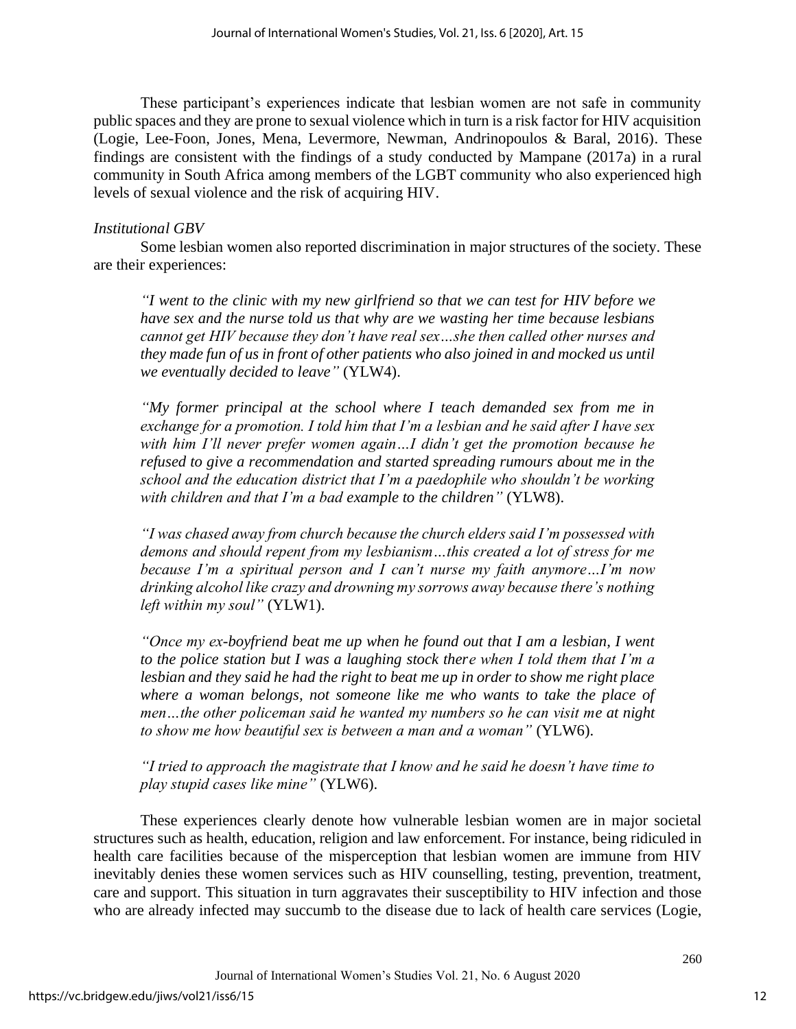These participant's experiences indicate that lesbian women are not safe in community public spaces and they are prone to sexual violence which in turn is a risk factor for HIV acquisition (Logie, Lee-Foon, Jones, Mena, Levermore, Newman, Andrinopoulos & Baral, 2016). These findings are consistent with the findings of a study conducted by Mampane (2017a) in a rural community in South Africa among members of the LGBT community who also experienced high levels of sexual violence and the risk of acquiring HIV.

# *Institutional GBV*

Some lesbian women also reported discrimination in major structures of the society. These are their experiences:

*"I went to the clinic with my new girlfriend so that we can test for HIV before we have sex and the nurse told us that why are we wasting her time because lesbians cannot get HIV because they don't have real sex…she then called other nurses and they made fun of us in front of other patients who also joined in and mocked us until we eventually decided to leave"* (YLW4).

*"My former principal at the school where I teach demanded sex from me in exchange for a promotion. I told him that I'm a lesbian and he said after I have sex with him I'll never prefer women again…I didn't get the promotion because he refused to give a recommendation and started spreading rumours about me in the school and the education district that I'm a paedophile who shouldn't be working with children and that I'm a bad example to the children"* (YLW8).

*"I was chased away from church because the church elders said I'm possessed with demons and should repent from my lesbianism…this created a lot of stress for me because I'm a spiritual person and I can't nurse my faith anymore…I'm now drinking alcohol like crazy and drowning my sorrows away because there's nothing left within my soul"* (YLW1).

*"Once my ex-boyfriend beat me up when he found out that I am a lesbian, I went to the police station but I was a laughing stock there when I told them that I'm a lesbian and they said he had the right to beat me up in order to show me right place where a woman belongs, not someone like me who wants to take the place of men…the other policeman said he wanted my numbers so he can visit me at night to show me how beautiful sex is between a man and a woman"* (YLW6).

*"I tried to approach the magistrate that I know and he said he doesn't have time to play stupid cases like mine"* (YLW6).

These experiences clearly denote how vulnerable lesbian women are in major societal structures such as health, education, religion and law enforcement. For instance, being ridiculed in health care facilities because of the misperception that lesbian women are immune from HIV inevitably denies these women services such as HIV counselling, testing, prevention, treatment, care and support. This situation in turn aggravates their susceptibility to HIV infection and those who are already infected may succumb to the disease due to lack of health care services (Logie,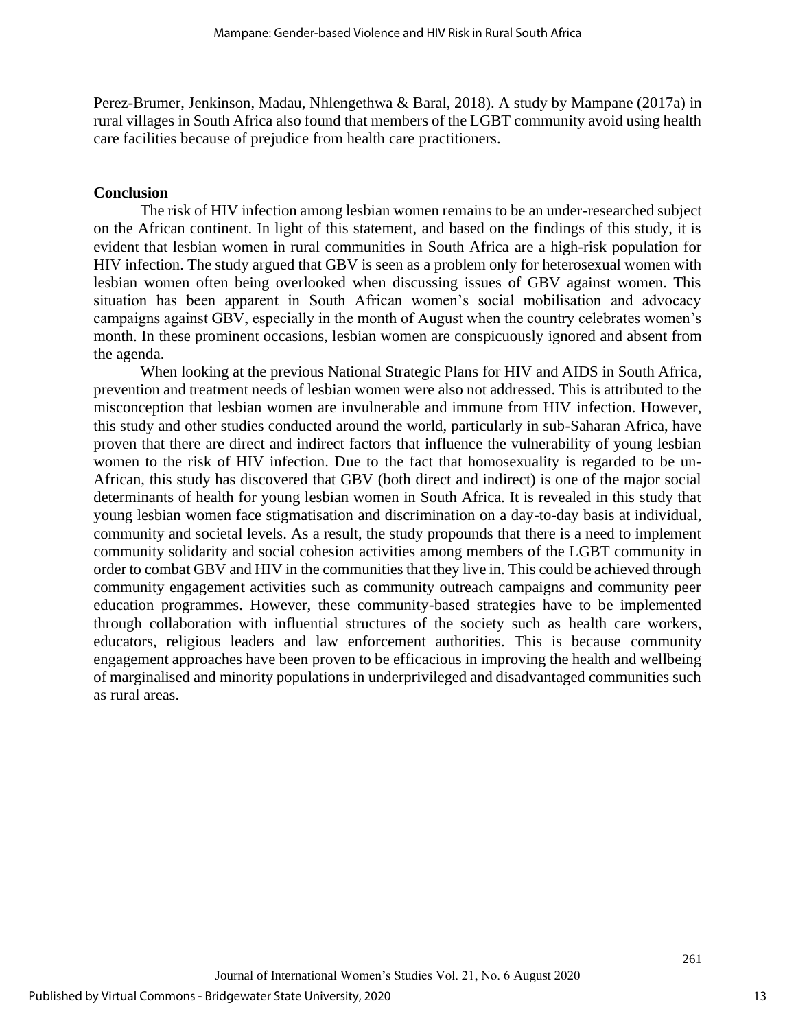Perez-Brumer, Jenkinson, Madau, Nhlengethwa & Baral, 2018). A study by Mampane (2017a) in rural villages in South Africa also found that members of the LGBT community avoid using health care facilities because of prejudice from health care practitioners.

# **Conclusion**

The risk of HIV infection among lesbian women remains to be an under-researched subject on the African continent. In light of this statement, and based on the findings of this study, it is evident that lesbian women in rural communities in South Africa are a high-risk population for HIV infection. The study argued that GBV is seen as a problem only for heterosexual women with lesbian women often being overlooked when discussing issues of GBV against women. This situation has been apparent in South African women's social mobilisation and advocacy campaigns against GBV, especially in the month of August when the country celebrates women's month. In these prominent occasions, lesbian women are conspicuously ignored and absent from the agenda.

When looking at the previous National Strategic Plans for HIV and AIDS in South Africa, prevention and treatment needs of lesbian women were also not addressed. This is attributed to the misconception that lesbian women are invulnerable and immune from HIV infection. However, this study and other studies conducted around the world, particularly in sub-Saharan Africa, have proven that there are direct and indirect factors that influence the vulnerability of young lesbian women to the risk of HIV infection. Due to the fact that homosexuality is regarded to be un-African, this study has discovered that GBV (both direct and indirect) is one of the major social determinants of health for young lesbian women in South Africa. It is revealed in this study that young lesbian women face stigmatisation and discrimination on a day-to-day basis at individual, community and societal levels. As a result, the study propounds that there is a need to implement community solidarity and social cohesion activities among members of the LGBT community in order to combat GBV and HIV in the communities that they live in. This could be achieved through community engagement activities such as community outreach campaigns and community peer education programmes. However, these community-based strategies have to be implemented through collaboration with influential structures of the society such as health care workers, educators, religious leaders and law enforcement authorities. This is because community engagement approaches have been proven to be efficacious in improving the health and wellbeing of marginalised and minority populations in underprivileged and disadvantaged communities such as rural areas.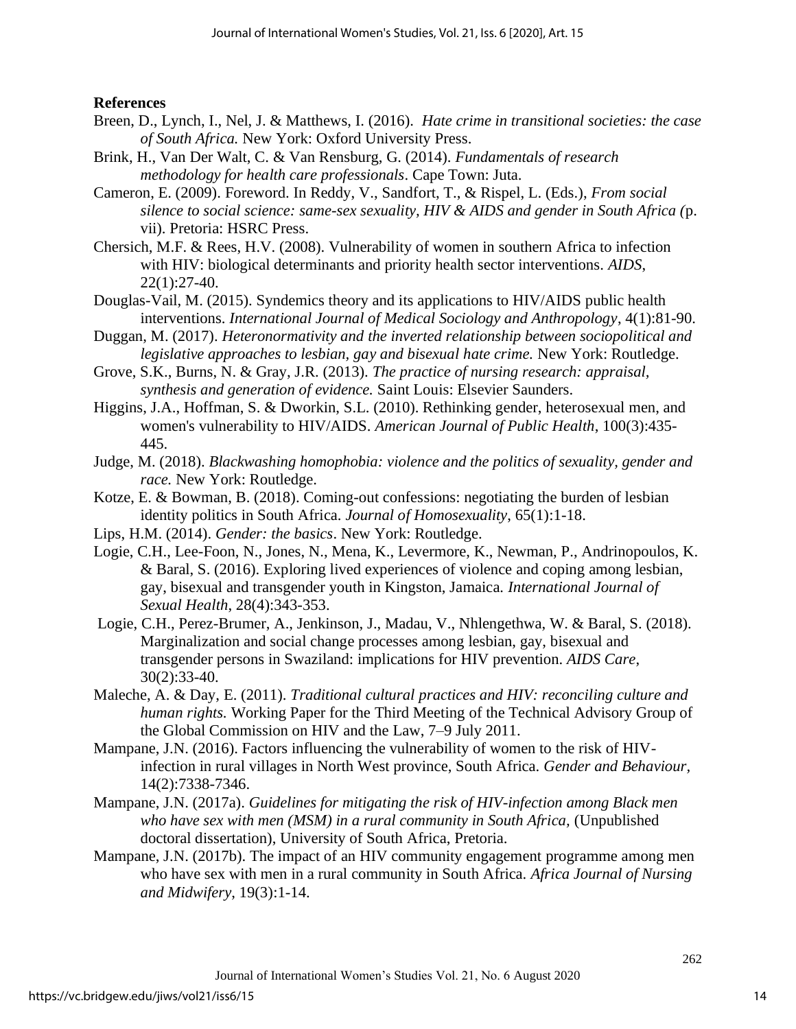# **References**

- Breen, D., Lynch, I., Nel, J. & Matthews, I. (2016). *Hate crime in transitional societies: the case of South Africa.* New York: Oxford University Press.
- Brink, H., Van Der Walt, C. & Van Rensburg, G. (2014). *Fundamentals of research methodology for health care professionals*. Cape Town: Juta.
- Cameron, E. (2009). Foreword. In Reddy, V., Sandfort, T., & Rispel, L. (Eds.), *From social silence to social science: same-sex sexuality, HIV & AIDS and gender in South Africa (*p. vii). Pretoria: HSRC Press.
- Chersich, M.F. & Rees, H.V. (2008). Vulnerability of women in southern Africa to infection with HIV: biological determinants and priority health sector interventions. *AIDS*, 22(1):27-40.
- Douglas-Vail, M. (2015). Syndemics theory and its applications to HIV/AIDS public health interventions. *International Journal of Medical Sociology and Anthropology*, 4(1):81-90.
- Duggan, M. (2017). *Heteronormativity and the inverted relationship between sociopolitical and legislative approaches to lesbian, gay and bisexual hate crime.* New York: Routledge.
- Grove, S.K., Burns, N. & Gray, J.R. (2013). *The practice of nursing research: appraisal, synthesis and generation of evidence.* Saint Louis: Elsevier Saunders.
- Higgins, J.A., Hoffman, S. & Dworkin, S.L. (2010). Rethinking gender, heterosexual men, and women's vulnerability to HIV/AIDS. *American Journal of Public Health*, 100(3):435- 445.
- Judge, M. (2018). *Blackwashing homophobia: violence and the politics of sexuality, gender and race.* New York: Routledge.
- Kotze, E. & Bowman, B. (2018). Coming-out confessions: negotiating the burden of lesbian identity politics in South Africa. *Journal of Homosexuality*, 65(1):1-18.
- Lips, H.M. (2014). *Gender: the basics*. New York: Routledge.
- Logie, C.H., Lee-Foon, N., Jones, N., Mena, K., Levermore, K., Newman, P., Andrinopoulos, K. & Baral, S. (2016). Exploring lived experiences of violence and coping among lesbian, gay, bisexual and transgender youth in Kingston, Jamaica*. International Journal of Sexual Health*, 28(4):343-353.
- Logie, C.H., Perez-Brumer, A., Jenkinson, J., Madau, V., Nhlengethwa, W. & Baral, S. (2018). Marginalization and social change processes among lesbian, gay, bisexual and transgender persons in Swaziland: implications for HIV prevention. *AIDS Care*, 30(2):33-40.
- Maleche, A. & Day, E. (2011). *Traditional cultural practices and HIV: reconciling culture and human rights.* Working Paper for the Third Meeting of the Technical Advisory Group of the Global Commission on HIV and the Law, 7–9 July 2011.
- Mampane, J.N. (2016). Factors influencing the vulnerability of women to the risk of HIVinfection in rural villages in North West province, South Africa. *Gender and Behaviour,* 14(2):7338-7346.
- Mampane, J.N. (2017a). *Guidelines for mitigating the risk of HIV-infection among Black men who have sex with men (MSM) in a rural community in South Africa,* (Unpublished doctoral dissertation), University of South Africa, Pretoria.
- Mampane, J.N. (2017b). The impact of an HIV community engagement programme among men who have sex with men in a rural community in South Africa. *Africa Journal of Nursing and Midwifery*, 19(3):1-14.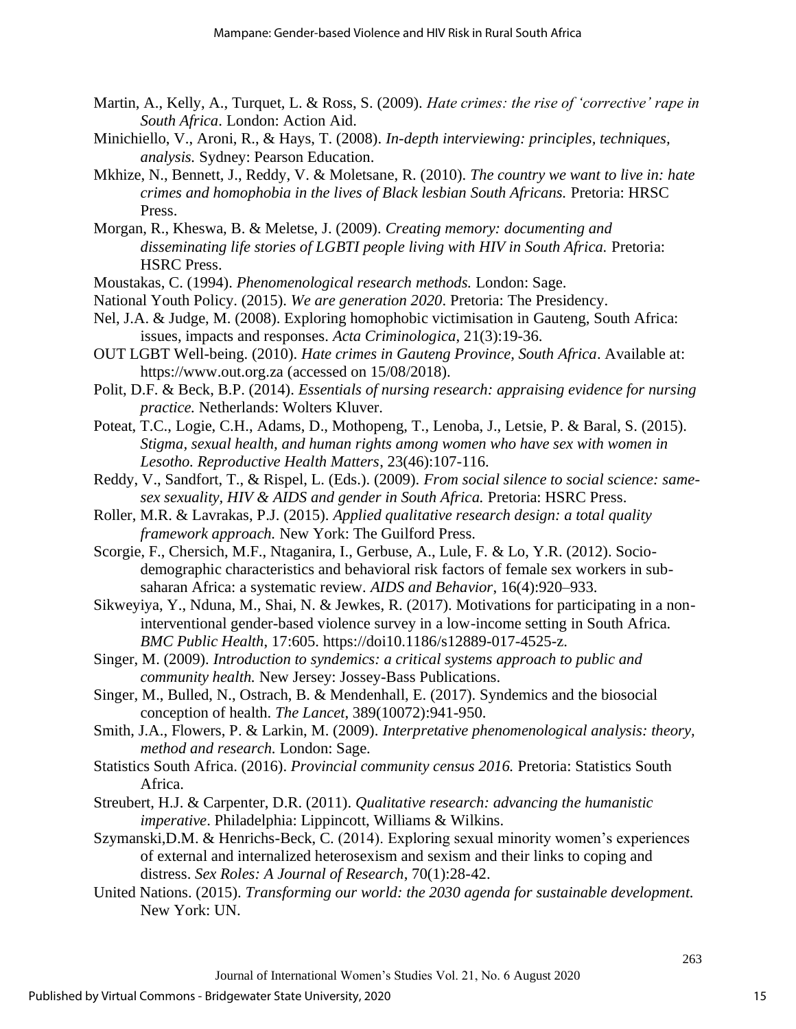- Martin, A., Kelly, A., Turquet, L. & Ross, S. (2009). *Hate crimes: the rise of 'corrective' rape in South Africa*. London: Action Aid.
- Minichiello, V., Aroni, R., & Hays, T. (2008). *In-depth interviewing: principles, techniques, analysis.* Sydney: Pearson Education.
- Mkhize, N., Bennett, J., Reddy, V. & Moletsane, R. (2010). *The country we want to live in: hate crimes and homophobia in the lives of Black lesbian South Africans.* Pretoria: HRSC Press.
- Morgan, R., Kheswa, B. & Meletse, J. (2009). *Creating memory: documenting and disseminating life stories of LGBTI people living with HIV in South Africa.* Pretoria: HSRC Press.
- Moustakas, C. (1994). *Phenomenological research methods.* London: Sage.
- National Youth Policy. (2015). *We are generation 2020*. Pretoria: The Presidency.
- Nel, J.A. & Judge, M. (2008). Exploring homophobic victimisation in Gauteng, South Africa: issues, impacts and responses. *Acta Criminologica*, 21(3):19-36.
- OUT LGBT Well-being. (2010). *Hate crimes in Gauteng Province, South Africa*. Available at: [https://www.out.org.za](https://www.out.org.za/) (accessed on 15/08/2018).
- Polit, D.F. & Beck, B.P. (2014). *Essentials of nursing research: appraising evidence for nursing practice.* Netherlands: Wolters Kluver.
- Poteat, T.C., Logie, C.H., Adams, D., Mothopeng, T., Lenoba, J., Letsie, P. & Baral, S. (2015). *Stigma, sexual health, and human rights among women who have sex with women in Lesotho. Reproductive Health Matters*, 23(46):107-116.
- Reddy, V., Sandfort, T., & Rispel, L. (Eds.). (2009). *From social silence to social science: samesex sexuality, HIV & AIDS and gender in South Africa.* Pretoria: HSRC Press.
- Roller, M.R. & Lavrakas, P.J. (2015). *Applied qualitative research design: a total quality framework approach.* New York: The Guilford Press.
- Scorgie, F., Chersich, M.F., Ntaganira, I., Gerbuse, A., Lule, F. & Lo, Y.R. (2012). Sociodemographic characteristics and behavioral risk factors of female sex workers in subsaharan Africa: a systematic review*. AIDS and Behavior*, 16(4):920–933.
- Sikweyiya, Y., Nduna, M., Shai, N. & Jewkes, R. (2017). Motivations for participating in a noninterventional gender-based violence survey in a low-income setting in South Africa. *BMC Public Health*, 17:605. [https://doi10.1186/s12889-017-4525-z.](https://doi10.1186/s12889-017-4525-z)
- Singer, M. (2009). *Introduction to syndemics: a critical systems approach to public and community health.* New Jersey: Jossey-Bass Publications.
- Singer, M., Bulled, N., Ostrach, B. & Mendenhall, E. (2017). Syndemics and the biosocial conception of health. *The Lancet*, 389(10072):941-950.
- Smith, J.A., Flowers, P. & Larkin, M. (2009). *Interpretative phenomenological analysis: theory, method and research.* London: Sage.
- Statistics South Africa. (2016). *Provincial community census 2016.* Pretoria: Statistics South Africa.
- Streubert, H.J. & Carpenter, D.R. (2011). *Qualitative research: advancing the humanistic imperative*. Philadelphia: Lippincott, Williams & Wilkins.
- Szymanski,D.M. & Henrichs-Beck, C. (2014). Exploring sexual minority women's experiences of external and internalized heterosexism and sexism and their links to coping and distress. *Sex Roles: A Journal of Research*, 70(1):28-42.
- United Nations. (2015). *Transforming our world: the 2030 agenda for sustainable development.* New York: UN.